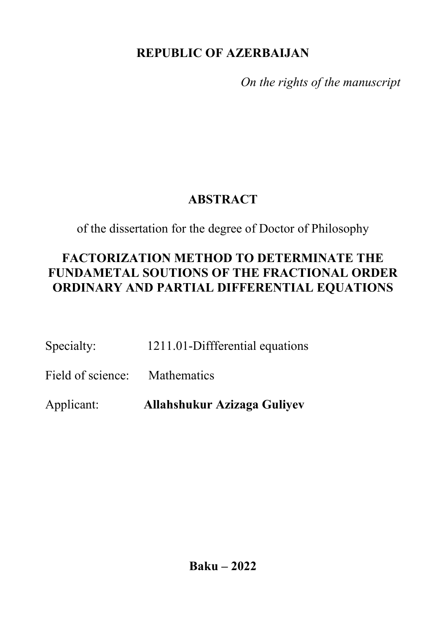## **REPUBLIC OF AZERBAIJAN**

*On the rights of the manuscript*

# **ABSTRACT**

of the dissertation for the degree of Doctor of Philosophy

# **FACTORIZATION METHOD TO DETERMINATE THE FUNDAMETAL SOUTIONS OF THE FRACTIONAL ORDER ORDINARY AND PARTIAL DIFFERENTIAL EQUATIONS**

Specialty: 1211.01-Diffferential equations

Field of science: Mathematics

Applicant: **Allahshukur Azizaga Guliyev**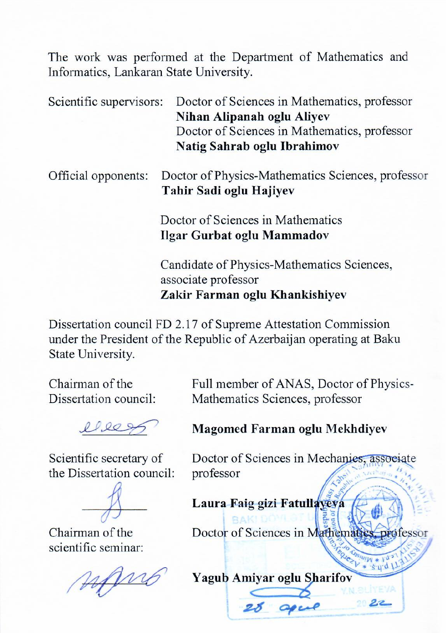The work was performed at the Department of Mathematics and Informatics, Lankaran State University.

Scientific supervisors: Doctor of Sciences in Mathematics, professor **Nihan Alipanah oglu Aliyev** Doctor of Sciences in Mathematics, professor **Natig Sahrab oglu Ibrahimov** Official opponents: Doctor of Physics-Mathematics Sciences, professor **Tahir Sadi oglu Hajiyev** Doctor of Sciences in Mathematics **Ilgar Gurbat oglu Mammadov** 

> Candidate of Physics-Mathematics Sciences, associate professor **Zakir Farman oglu Khankishiyev**

Dissertation council FD 2.17 of Supreme Attestation Commission under the President of the Republic of Azerbaijan operating at Baku State University.

Chairman of the Dissertation council:

\_\_\_\_\_\_\_\_\_\_

Scientific secretary of the Dissertation council:

 $\mathcal{D}$  $\overline{\phantom{a}}$ 

 $\frac{1}{2}$  chairman of the

 $\overline{a}$ 

Full member of ANAS, Doctor of Physics-Mathematics Sciences, professor

**Magomed Farman oglu Mekhdiyev**

 $D_{\text{c}}$  of  $S$  of  $S$  in  $M$  associated in  $M$  $\frac{p}{q}$ 

**Laura Faig gizi Fatullayeva** 

Doctor of Sciences in Mathematics, professor

**Yagub Amiyar oglu Sharifov**

2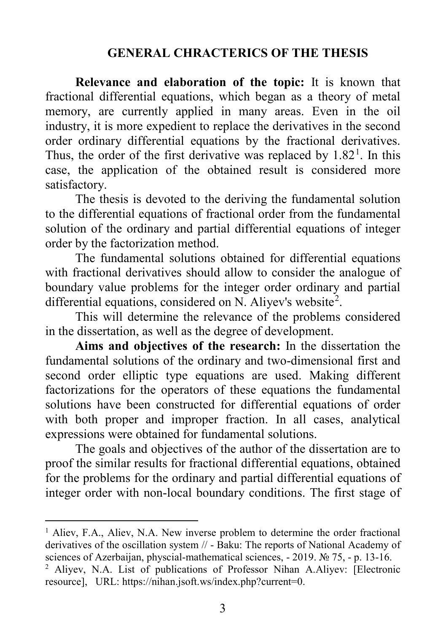### **GENERAL CHRACTERICS OF THE THESIS**

**Relevance and elaboration of the topic:** It is known that fractional differential equations, which began as a theory of metal memory, are currently applied in many areas. Even in the oil industry, it is more expedient to replace the derivatives in the second order ordinary differential equations by the fractional derivatives. Thus, the order of the first derivative was replaced by  $1.82<sup>1</sup>$  $1.82<sup>1</sup>$ . In this case, the application of the obtained result is considered more satisfactory.

The thesis is devoted to the deriving the fundamental solution to the differential equations of fractional order from the fundamental solution of the ordinary and partial differential equations of integer order by the factorization method.

The fundamental solutions obtained for differential equations with fractional derivatives should allow to consider the analogue of boundary value problems for the integer order ordinary and partial differential equations, considered on N. Aliyev's website<sup>[2](#page-2-1)</sup>.

This will determine the relevance of the problems considered in the dissertation, as well as the degree of development.

**Aims and objectives of the research:** In the dissertation the fundamental solutions of the ordinary and two-dimensional first and second order elliptic type equations are used. Making different factorizations for the operators of these equations the fundamental solutions have been constructed for differential equations of order with both proper and improper fraction. In all cases, analytical expressions were obtained for fundamental solutions.

The goals and objectives of the author of the dissertation are to proof the similar results for fractional differential equations, obtained for the problems for the ordinary and partial differential equations of integer order with non-local boundary conditions. The first stage of

 $\overline{a}$ 

<span id="page-2-0"></span><sup>&</sup>lt;sup>1</sup> Aliev, F.A., Aliev, N.A. New inverse problem to determine the order fractional derivatives of the oscillation system // - Baku: The reports of National Academy of sciences of Azerbaijan, physcial-mathematical sciences, - 2019. № 75, - p. 13-16.

<span id="page-2-1"></span><sup>2</sup> Aliyev, N.A. List of publications of Professor Nihan A.Aliyev: [Electronic resource], URL: https://nihan.jsoft.ws/index.php?current=0.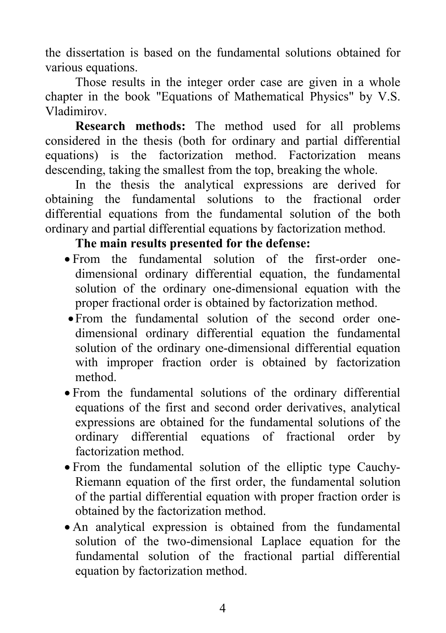the dissertation is based on the fundamental solutions obtained for various equations.

Those results in the integer order case are given in a whole chapter in the book "Equations of Mathematical Physics" by V.S. Vladimirov.

**Research methods:** The method used for all problems considered in the thesis (both for ordinary and partial differential equations) is the factorization method. Factorization means descending, taking the smallest from the top, breaking the whole.

In the thesis the analytical expressions are derived for obtaining the fundamental solutions to the fractional order differential equations from the fundamental solution of the both ordinary and partial differential equations by factorization method.

### **The main results presented for the defense:**

- From the fundamental solution of the first-order onedimensional ordinary differential equation, the fundamental solution of the ordinary one-dimensional equation with the proper fractional order is obtained by factorization method.
- •From the fundamental solution of the second order onedimensional ordinary differential equation the fundamental solution of the ordinary one-dimensional differential equation with improper fraction order is obtained by factorization method.
- From the fundamental solutions of the ordinary differential equations of the first and second order derivatives, analytical expressions are obtained for the fundamental solutions of the ordinary differential equations of fractional order by factorization method.
- From the fundamental solution of the elliptic type Cauchy-Riemann equation of the first order, the fundamental solution of the partial differential equation with proper fraction order is obtained by the factorization method.
- An analytical expression is obtained from the fundamental solution of the two-dimensional Laplace equation for the fundamental solution of the fractional partial differential equation by factorization method.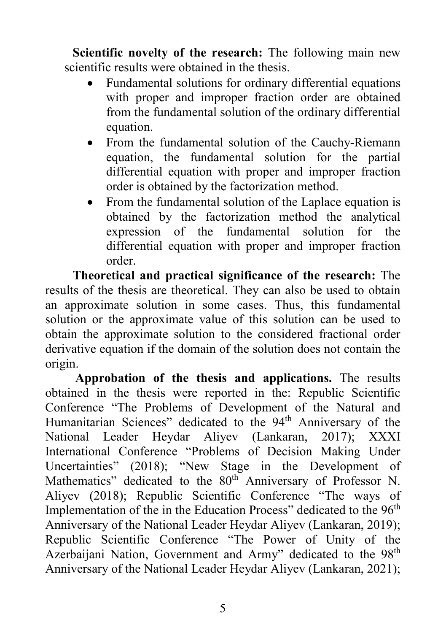**Scientific novelty of the research:** The following main new scientific results were obtained in the thesis.

- Fundamental solutions for ordinary differential equations with proper and improper fraction order are obtained from the fundamental solution of the ordinary differential equation.
- From the fundamental solution of the Cauchy-Riemann equation, the fundamental solution for the partial differential equation with proper and improper fraction order is obtained by the factorization method.
- From the fundamental solution of the Laplace equation is obtained by the factorization method the analytical expression of the fundamental solution for the differential equation with proper and improper fraction order.

**Theoretical and practical significance of the research:** The results of the thesis are theoretical. They can also be used to obtain an approximate solution in some cases. Thus, this fundamental solution or the approximate value of this solution can be used to obtain the approximate solution to the considered fractional order derivative equation if the domain of the solution does not contain the origin.

**Approbation of the thesis and applications.** The results obtained in the thesis were reported in the: Republic Scientific Conference "The Problems of Development of the Natural and Humanitarian Sciences" dedicated to the 94<sup>th</sup> Anniversary of the National Leader Heydar Aliyev (Lankaran, 2017); XХXI International Conference "Problems of Decision Making Under Uncertainties" (2018); "New Stage in the Development of Mathematics" dedicated to the 80<sup>th</sup> Anniversary of Professor N. Aliyev (2018); Republic Scientific Conference "The ways of Implementation of the in the Education Process" dedicated to the 96<sup>th</sup> Anniversary of the National Leader Heydar Aliyev (Lankaran, 2019); Republic Scientific Conference "The Power of Unity of the Azerbaijani Nation, Government and Army" dedicated to the 98<sup>th</sup> Anniversary of the National Leader Heydar Aliyev (Lankaran, 2021);

5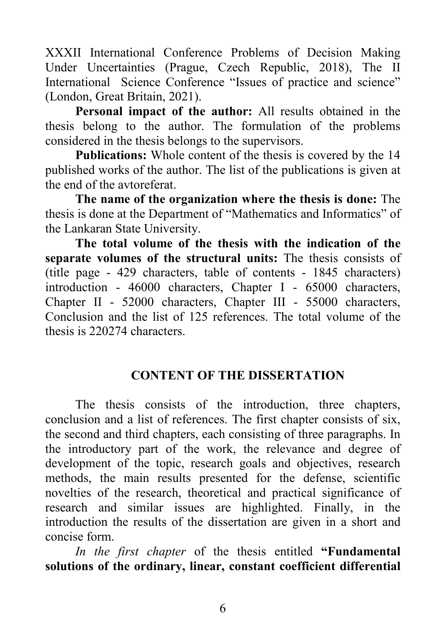XХXII International Conference Problems of Decision Making Under Uncertainties (Prague, Czech Republic, 2018), The ІІ International Science Conference "Issues of practice and science" (London, Great Britain, 2021).

**Personal impact of the author:** All results obtained in the thesis belong to the author. The formulation of the problems considered in the thesis belongs to the supervisors.

**Publications:** Whole content of the thesis is covered by the 14 published works of the author. The list of the publications is given at the end of the avtoreferat.

**The name of the organization where the thesis is done:** The thesis is done at the Department of "Mathematics and Informatics" of the Lankaran State University.

**The total volume of the thesis with the indication of the separate volumes of the structural units:** The thesis consists of (title page - 429 characters, table of contents - 1845 characters) introduction - 46000 characters, Chapter I - 65000 characters, Chapter II - 52000 characters, Chapter III - 55000 characters, Conclusion and the list of 125 references. The total volume of the thesis is 220274 characters.

#### **CONTENT OF THE DISSERTATION**

The thesis consists of the introduction, three chapters, conclusion and a list of references. The first chapter consists of six, the second and third chapters, each consisting of three paragraphs. In the introductory part of the work, the relevance and degree of development of the topic, research goals and objectives, research methods, the main results presented for the defense, scientific novelties of the research, theoretical and practical significance of research and similar issues are highlighted. Finally, in the introduction the results of the dissertation are given in a short and concise form.

*In the first chapter* of the thesis entitled **"Fundamental solutions of the ordinary, linear, constant coefficient differential**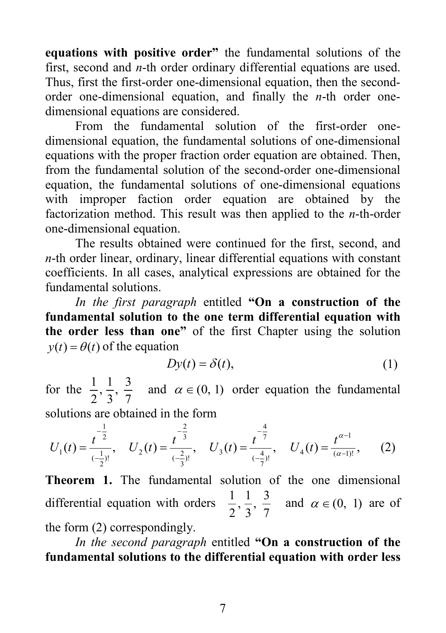**equations with positive order"** the fundamental solutions of the first, second and *n*-th order ordinary differential equations are used. Thus, first the first-order one-dimensional equation, then the secondorder one-dimensional equation, and finally the *n*-th order onedimensional equations are considered.

From the fundamental solution of the first-order onedimensional equation, the fundamental solutions of one-dimensional equations with the proper fraction order equation are obtained. Then, from the fundamental solution of the second-order one-dimensional equation, the fundamental solutions of one-dimensional equations with improper faction order equation are obtained by the factorization method. This result was then applied to the *n*-th-order one-dimensional equation.

The results obtained were continued for the first, second, and *n*-th order linear, ordinary, linear differential equations with constant coefficients. In all cases, analytical expressions are obtained for the fundamental solutions.

*In the first paragraph* entitled **"On a construction of the fundamental solution to the one term differential equation with the order less than one"** of the first Chapter using the solution  $y(t) = \theta(t)$  of the equation

$$
Dy(t) = \delta(t),\tag{1}
$$

for the 7  $\frac{3}{7}$ 3  $\frac{1}{2}$ 2  $\frac{1}{\alpha}$ ,  $\frac{1}{\alpha}$ ,  $\frac{3}{\alpha}$  and  $\alpha \in (0, 1)$  order equation the fundamental

solutions are obtained in the form

$$
U_1(t) = \frac{t^{-\frac{1}{2}}}{(-\frac{1}{2})!}, \quad U_2(t) = \frac{t^{-\frac{2}{3}}}{(-\frac{2}{3})!}, \quad U_3(t) = \frac{t^{-\frac{4}{7}}}{(-\frac{4}{7})!}, \quad U_4(t) = \frac{t^{\alpha-1}}{(\alpha-1)!}, \quad (2)
$$

**Theorem 1.** The fundamental solution of the one dimensional differential equation with orders  $\frac{1}{2}, \frac{1}{3}, \frac{3}{7}$ 3  $\frac{1}{2}$ 2  $\frac{1}{2}, \frac{1}{2}, \frac{3}{7}$  and  $\alpha \in (0, 1)$  are of the form (2) correspondingly.

*In the second paragraph* entitled **"On a construction of the fundamental solutions to the differential equation with order less**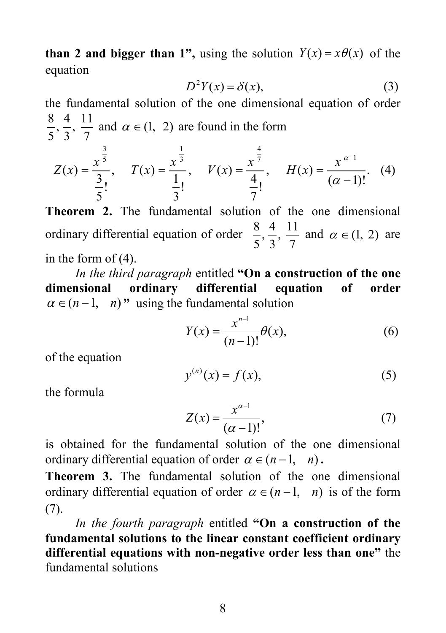**than 2 and bigger than 1",** using the solution  $Y(x) = x\theta(x)$  of the equation

$$
D^2Y(x) = \delta(x),\tag{3}
$$

the fundamental solution of the one dimensional equation of order 7  $\frac{11}{7}$ 3  $\frac{4}{2}$ 5  $\frac{8}{5}, \frac{4}{3}, \frac{11}{7}$  and  $\alpha \in (1, 2)$  are found in the form

$$
Z(x) = \frac{x^{\frac{3}{5}}}{\frac{3}{5}!}, \quad T(x) = \frac{x^{\frac{1}{3}}}{\frac{1}{3}!}, \quad V(x) = \frac{x^{\frac{4}{7}}}{\frac{4}{7}!}, \quad H(x) = \frac{x^{\alpha-1}}{(\alpha-1)!}.
$$
 (4)

**Theorem 2.** The fundamental solution of the one dimensional ordinary differential equation of order  $\frac{8}{5}, \frac{4}{3}, \frac{11}{7}$ 3  $\frac{4}{\cdot}$ 5  $\frac{8}{5}, \frac{4}{3}, \frac{11}{7}$  and  $\alpha \in (1, 2)$  are in the form of (4).

*In the third paragraph* entitled **"On a construction of the one dimensional ordinary differential equation of order**   $\alpha \in (n-1, n)$ " using the fundamental solution

$$
Y(x) = \frac{x^{n-1}}{(n-1)!} \theta(x),
$$
 (6)

of the equation

$$
y^{(n)}(x) = f(x),\tag{5}
$$

the formula

$$
Z(x) = \frac{x^{\alpha - 1}}{(\alpha - 1)!},
$$
\n(7)

is obtained for the fundamental solution of the one dimensional ordinary differential equation of order  $\alpha \in (n-1, n)$ .

**Theorem 3.** The fundamental solution of the one dimensional ordinary differential equation of order  $\alpha \in (n-1, n)$  is of the form (7).

*In the fourth paragraph* entitled **"On a construction of the fundamental solutions to the linear constant coefficient ordinary differential equations with non-negative order less than one"** the fundamental solutions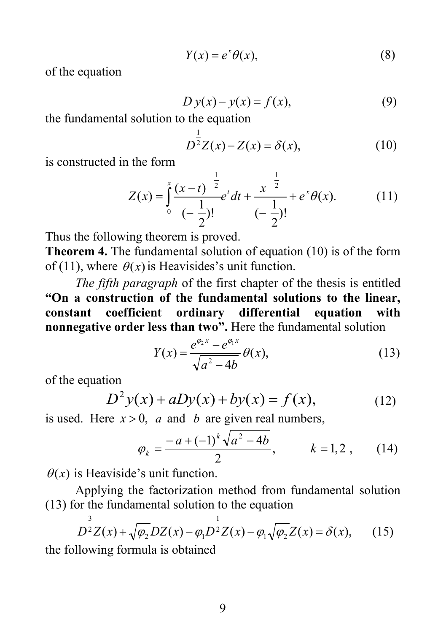$$
Y(x) = e^x \theta(x),\tag{8}
$$

of the equation

$$
D y(x) - y(x) = f(x),
$$
\n(9)

the fundamental solution to the equation

$$
D^{\frac{1}{2}}Z(x) - Z(x) = \delta(x),
$$
 (10)

is constructed in the form

$$
Z(x) = \int_0^x \frac{(x-t)^{-\frac{1}{2}}}{(-\frac{1}{2})!} e^{t} dt + \frac{x^{-\frac{1}{2}}}{(-\frac{1}{2})!} + e^{x} \theta(x).
$$
 (11)

 $\overline{\phantom{a}}$ Thus the following theorem is proved.

**Theorem 4.** The fundamental solution of equation (10) is of the form of (11), where  $\theta(x)$  is Heavisides's unit function.

*The fifth paragraph* of the first chapter of the thesis is entitled **"On a construction of the fundamental solutions to the linear, constant coefficient ordinary differential equation with nonnegative order less than two".** Here the fundamental solution

$$
Y(x) = \frac{e^{\phi_2 x} - e^{\phi_1 x}}{\sqrt{a^2 - 4b}} \theta(x),
$$
 (13)

of the equation

$$
D^{2}y(x) + aDy(x) + by(x) = f(x),
$$
 (12)

is used. Here  $x > 0$ , *a* and *b* are given real numbers,

$$
\varphi_k = \frac{-a + (-1)^k \sqrt{a^2 - 4b}}{2}, \qquad k = 1, 2, \qquad (14)
$$

 $\theta(x)$  is Heaviside's unit function.

Applying the factorization method from fundamental solution (13) for the fundamental solution to the equation

$$
D^{\frac{3}{2}}Z(x) + \sqrt{\varphi_2}DZ(x) - \varphi_1 D^{\frac{1}{2}}Z(x) - \varphi_1 \sqrt{\varphi_2}Z(x) = \delta(x), \qquad (15)
$$

the following formula is obtained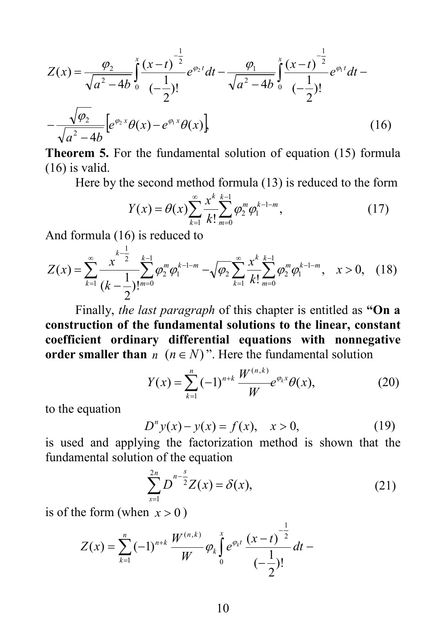$$
Z(x) = \frac{\varphi_2}{\sqrt{a^2 - 4b}} \int_0^x \frac{(x - t)^{-\frac{1}{2}}}{(-\frac{1}{2})!} e^{\varphi_2 t} dt - \frac{\varphi_1}{\sqrt{a^2 - 4b}} \int_0^x \frac{(x - t)^{-\frac{1}{2}}}{(-\frac{1}{2})!} e^{\varphi_1 t} dt - \frac{\sqrt{\varphi_2}}{\sqrt{a^2 - 4b}} \Big[ e^{\varphi_2 x} \theta(x) - e^{\varphi_1 x} \theta(x) \Big]
$$
(16)

**Theorem 5.** For the fundamental solution of equation (15) formula (16) is valid.

Here by the second method formula (13) is reduced to the form

$$
Y(x) = \theta(x) \sum_{k=1}^{\infty} \frac{x^k}{k!} \sum_{m=0}^{k-1} \varphi_2^m \varphi_1^{k-1-m},
$$
\n(17)

And formula (16) is reduced to 1

$$
Z(x) = \sum_{k=1}^{\infty} \frac{x^{k-\frac{1}{2}}}{(k-\frac{1}{2})!^{m=0}} \sum_{k=0}^{k-1} \varphi_2^m \varphi_1^{k-1-m} - \sqrt{\varphi_2} \sum_{k=1}^{\infty} \frac{x^k}{k!} \sum_{m=0}^{k-1} \varphi_2^m \varphi_1^{k-1-m}, \quad x > 0, \quad (18)
$$

Finally, *the last paragraph* of this chapter is entitled as **"On a construction of the fundamental solutions to the linear, constant coefficient ordinary differential equations with nonnegative order smaller than**  $n \ (n \in N)$ ". Here the fundamental solution

$$
Y(x) = \sum_{k=1}^{n} (-1)^{n+k} \frac{W^{(n,k)}}{W} e^{\varphi_k x} \theta(x), \qquad (20)
$$

to the equation

$$
D^{n} y(x) - y(x) = f(x), \quad x > 0,
$$
 (19)

is used and applying the factorization method is shown that the fundamental solution of the equation

$$
\sum_{s=1}^{2n} D^{n-\frac{s}{2}} Z(x) = \delta(x),
$$
 (21)

1

is of the form (when  $x > 0$ )

$$
Z(x) = \sum_{k=1}^{n} (-1)^{n+k} \frac{W^{(n,k)}}{W} \varphi_k \int_0^x e^{\varphi_k t} \frac{(x-t)^{-\frac{1}{2}}}{(-\frac{1}{2})!} dt -
$$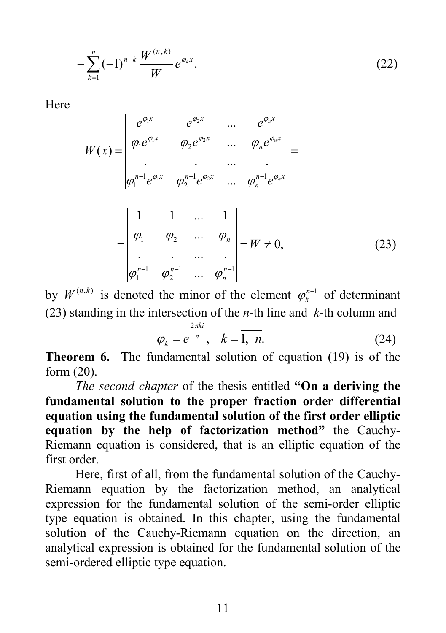$$
-\sum_{k=1}^{n}(-1)^{n+k}\frac{W^{(n,k)}}{W}e^{\varphi_k x}.
$$
 (22)

Here

$$
W(x) = \begin{vmatrix} e^{\varphi_1 x} & e^{\varphi_2 x} & \dots & e^{\varphi_n x} \\ \varphi_1 e^{\varphi_1 x} & \varphi_2 e^{\varphi_2 x} & \dots & \varphi_n e^{\varphi_n x} \\ \vdots & \vdots & \dots & \vdots \\ \varphi_1^{n-1} e^{\varphi_1 x} & \varphi_2^{n-1} e^{\varphi_2 x} & \dots & \varphi_n^{n-1} e^{\varphi_n x} \end{vmatrix} =
$$
  
= 
$$
\begin{vmatrix} 1 & 1 & \dots & 1 \\ \varphi_1 & \varphi_2 & \dots & \varphi_n \\ \vdots & \vdots & \dots & \vdots \\ \varphi_1^{n-1} & \varphi_2^{n-1} & \dots & \varphi_n^{n-1} \end{vmatrix} = W \neq 0,
$$
 (23)

by  $W^{(n,k)}$  is denoted the minor of the element  $\varphi_k^{n-1}$  of determinant (23) standing in the intersection of the *n*-th line and *k*-th column and

$$
\varphi_k = e^{\frac{2\pi k i}{n}}, \quad k = \overline{1, n}.\tag{24}
$$

**Theorem 6.** The fundamental solution of equation (19) is of the form (20).

*The second chapter* of the thesis entitled **"On a deriving the fundamental solution to the proper fraction order differential equation using the fundamental solution of the first order elliptic equation by the help of factorization method"** the Cauchy-Riemann equation is considered, that is an elliptic equation of the first order.

Here, first of all, from the fundamental solution of the Cauchy-Riemann equation by the factorization method, an analytical expression for the fundamental solution of the semi-order elliptic type equation is obtained. In this chapter, using the fundamental solution of the Cauchy-Riemann equation on the direction, an analytical expression is obtained for the fundamental solution of the semi-ordered elliptic type equation.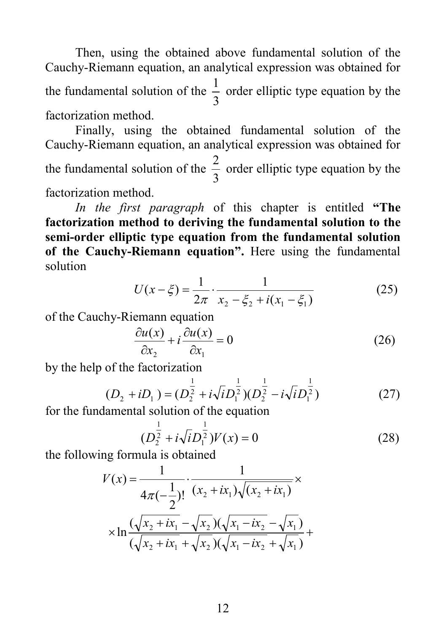Then, using the obtained above fundamental solution of the Cauchy-Riemann equation, an analytical expression was obtained for the fundamental solution of the 3  $\frac{1}{2}$  order elliptic type equation by the factorization method.

Finally, using the obtained fundamental solution of the Cauchy-Riemann equation, an analytical expression was obtained for the fundamental solution of the 3  $\frac{2}{3}$  order elliptic type equation by the factorization method.

*In the first paragraph* of this chapter is entitled **"The factorization method to deriving the fundamental solution to the semi-order elliptic type equation from the fundamental solution of the Cauchy-Riemann equation".** Here using the fundamental solution

$$
U(x - \xi) = \frac{1}{2\pi} \cdot \frac{1}{x_2 - \xi_2 + i(x_1 - \xi_1)}
$$
(25)

of the Cauchy-Riemann equation

$$
\frac{\partial u(x)}{\partial x_2} + i \frac{\partial u(x)}{\partial x_1} = 0
$$
\n(26)

by the help of the factorization

$$
(D_2 + iD_1) = (D_2^{\frac{1}{2}} + i\sqrt{i}D_1^{\frac{1}{2}})(D_2^{\frac{1}{2}} - i\sqrt{i}D_1^{\frac{1}{2}})
$$
(27)

for the fundamental solution of the equation

$$
(D_2^{\frac{1}{2}} + i\sqrt{i}D_1^{\frac{1}{2}})V(x) = 0
$$
 (28)

the following formula is obtained

$$
V(x) = \frac{1}{4\pi(-\frac{1}{2})!} \cdot \frac{1}{(x_2 + ix_1)\sqrt{(x_2 + ix_1)}} \times \frac{1}{\sqrt{(x_2 + ix_1 - \sqrt{x_2})(\sqrt{x_1 - ix_2} - \sqrt{x_1})}} \times \ln \frac{(\sqrt{x_2 + ix_1} - \sqrt{x_2})(\sqrt{x_1 - ix_2} - \sqrt{x_1})}{(\sqrt{x_2 + ix_1} + \sqrt{x_2})(\sqrt{x_1 - ix_2} + \sqrt{x_1})} + \frac{1}{\sqrt{(x_2 + ix_1)} + \sqrt{(x_2 + ix_1)}}
$$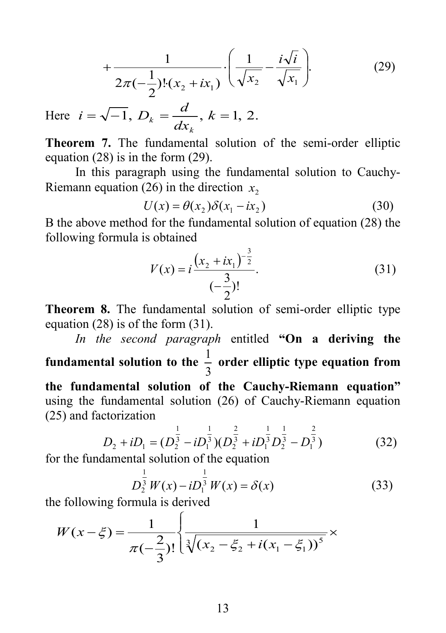$$
+\frac{1}{2\pi(-\frac{1}{2})!(x_2+i x_1)}\cdot\left(\frac{1}{\sqrt{x_2}}-\frac{i\sqrt{i}}{\sqrt{x_1}}\right).
$$
 (29)

Here  $i = \sqrt{-1}$ ,  $D_k = \frac{d}{dx_k}$ ,  $k = 1, 2$ . *k k*

**Theorem 7.** The fundamental solution of the semi-order elliptic equation (28) is in the form (29).

In this paragraph using the fundamental solution to Cauchy-Riemann equation (26) in the direction  $x_2$ 

$$
U(x) = \theta(x_2)\delta(x_1 - ix_2)
$$
 (30)

 B the above method for the fundamental solution of equation (28) the following formula is obtained

$$
V(x) = i \frac{\left(x_2 + ix_1\right)^{-\frac{3}{2}}}{\left(-\frac{3}{2}\right)!}.
$$
\n(31)

**Theorem 8.** The fundamental solution of semi-order elliptic type equation (28) is of the form (31).

*In the second paragraph* entitled **"On a deriving the fundamental solution to the**  3  $\frac{1}{2}$  order elliptic type equation from **the fundamental solution of the Cauchy-Riemann equation"** using the fundamental solution (26) of Cauchy-Riemann equation (25) and factorization

$$
D_2 + iD_1 = (D_2^{\frac{1}{3}} - iD_1^{\frac{1}{3}})(D_2^{\frac{2}{3}} + iD_1^{\frac{1}{3}}D_2^{\frac{1}{3}} - D_1^{\frac{2}{3}})
$$
(32)

for the fundamental solution of the equation

$$
D_2^{\frac{1}{3}}W(x) - iD_1^{\frac{1}{3}}W(x) = \delta(x)
$$
 (33)

the following formula is derived

$$
W(x-\xi) = \frac{1}{\pi(-\frac{2}{3})!} \left\{ \frac{1}{\sqrt[3]{(x_2 - \xi_2 + i(x_1 - \xi_1))^5}} \right\}
$$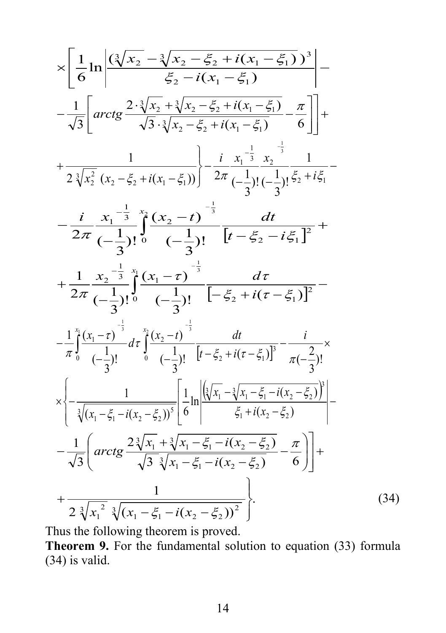$$
\times \left[ \frac{1}{6} \ln \left| \frac{(\sqrt[3]{x_2} - \sqrt[3]{x_2} - \frac{z}{\zeta_2} + i(x_1 - \xi_1))^3}{\xi_2 - i(x_1 - \xi_1)} \right| - \frac{1}{\sqrt{3}} \left[ \arctg \frac{2 \cdot \sqrt[3]{x_2} + \sqrt[3]{x_2} - \xi_2 + i(x_1 - \xi_1)}{\sqrt{3} \cdot \sqrt[3]{x_2} - \xi_2 + i(x_1 - \xi_1)} - \frac{\pi}{6} \right] + \frac{1}{2 \sqrt[3]{x_2^2} (x_2 - \xi_2 + i(x_1 - \xi_1))} \right] - \frac{i}{2\pi} \frac{x_1^{-\frac{1}{3}} x_2^{-\frac{1}{3}}}{(-\frac{1}{3})! (-\frac{1}{3})! (-\frac{1}{3})! (\xi_2 + i\xi_1 - \xi_1)} - \frac{i}{2\pi} \frac{x_1^{-\frac{1}{3}} x_2^{-\frac{1}{3}}}{(-\frac{1}{3})! 6} \frac{1}{(-\frac{1}{3})! (-\frac{1}{3})! (-\frac{1}{3})! (\xi_2 + i\xi_1 - \xi_1)} + \frac{1}{2\pi} \frac{x_2^{-\frac{1}{3}} x_2^{-\frac{1}{3}}}{(-\frac{1}{3})! 6} \frac{1}{(-\frac{1}{3})! (-\xi_2 + i(\tau - \xi_1))^2} - \frac{1}{\pi} \int_0^x \frac{(x_1 - \tau)^{-\frac{1}{3}}}{(-\frac{1}{3})! (-\frac{1}{3})! (-\xi_2 + i(\tau - \xi_1))^2} - \frac{1}{\pi} \int_0^x \frac{(x_1 - \tau)^{-\frac{1}{3}}}{(-\frac{1}{3})!} d\tau \frac{1}{(\xi_2 - \tau)^{-\frac{1}{3}}} + \frac{1}{\pi} \left[ \frac{1}{\sqrt{(\xi_2 - \xi_1)} - \frac{1}{\sqrt{(\xi_2 - \xi_1)} - i(x_2 - \xi_2)}} - \frac{i}{\sqrt{3}} \right] + \frac{1}{\sqrt{(\xi_1 - \xi_1 - i(x_2 - \xi_2))} - \frac{\pi}{6}} - \frac{1}{\sqrt{3}} \left[ \arctg \frac{2 \sqrt[3]{x_1} + \sqrt[3]{
$$

Thus the following theorem is proved.

**Theorem 9.** For the fundamental solution to equation (33) formula (34) is valid.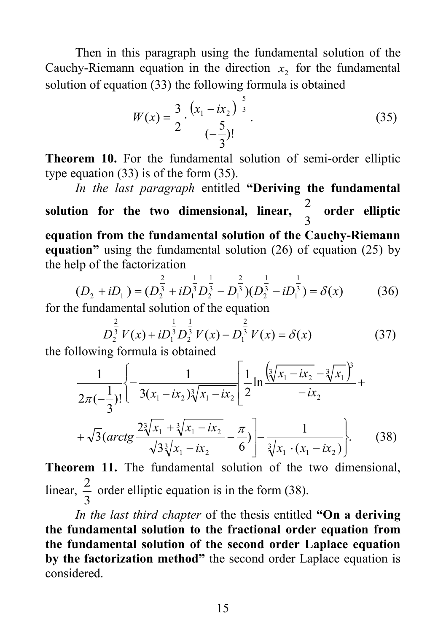Then in this paragraph using the fundamental solution of the Cauchy-Riemann equation in the direction  $x<sub>2</sub>$  for the fundamental solution of equation (33) the following formula is obtained

$$
W(x) = \frac{3}{2} \cdot \frac{\left(x_1 - ix_2\right)^{-\frac{5}{3}}}{\left(-\frac{5}{3}\right)!}.
$$
 (35)

**Theorem 10.** For the fundamental solution of semi-order elliptic type equation (33) is of the form (35).

*In the last paragraph* entitled **"Deriving the fundamental**  solution for the two dimensional, linear,  $\frac{2}{3}$  order elliptic **equation from the fundamental solution of the Cauchy-Riemann equation"** using the fundamental solution (26) of equation (25) by the help of the factorization

$$
(D_2 + iD_1) = (D_2^{\frac{2}{3}} + iD_1^{\frac{1}{3}}D_2^{\frac{1}{3}} - D_1^{\frac{2}{3}})(D_2^{\frac{1}{3}} - iD_1^{\frac{1}{3}}) = \delta(x)
$$
(36)

for the fundamental solution of the equation

$$
D_2^{\frac{2}{3}}V(x) + iD_1^{\frac{1}{3}}D_2^{\frac{1}{3}}V(x) - D_1^{\frac{2}{3}}V(x) = \delta(x)
$$
(37)

the following formula is obtained

$$
\frac{1}{2\pi(-\frac{1}{3})}\left\{-\frac{1}{3(x_1 - ix_2)\sqrt[3]{x_1 - ix_2}}\right\}\frac{1}{2}\ln\frac{(\sqrt[3]{x_1 - ix_2} - \sqrt[3]{x_1})^3}{-ix_2} + \sqrt{3}\left(\arctg\frac{2\sqrt[3]{x_1} + \sqrt[3]{x_1 - ix_2}}{\sqrt{3}\sqrt[3]{x_1 - ix_2}} - \frac{\pi}{6}\right)\right\} - \frac{1}{\sqrt[3]{x_1} \cdot (x_1 - ix_2)}.
$$
\n(38)

**Theorem 11.** The fundamental solution of the two dimensional, linear,  $\frac{2}{3}$  order elliptic equation is in the form (38).

*In the last third chapter* of the thesis entitled **"On a deriving the fundamental solution to the fractional order equation from the fundamental solution of the second order Laplace equation by the factorization method"** the second order Laplace equation is considered.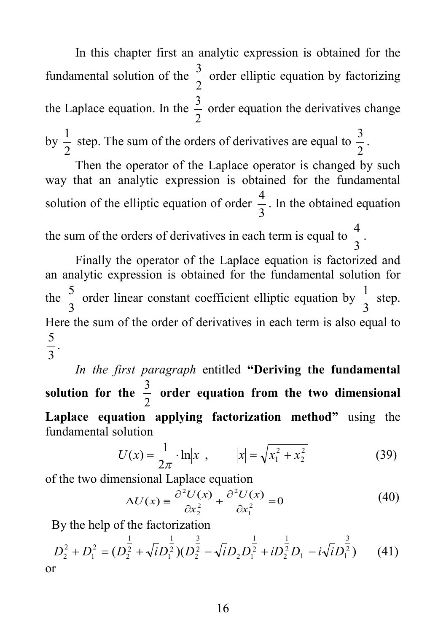In this chapter first an analytic expression is obtained for the fundamental solution of the 2  $\frac{3}{2}$  order elliptic equation by factorizing the Laplace equation. In the  $\frac{3}{2}$  order equation the derivatives change by  $\frac{1}{2}$  step. The sum of the orders of derivatives are equal to 2  $\frac{3}{2}$ .

Then the operator of the Laplace operator is changed by such way that an analytic expression is obtained for the fundamental solution of the elliptic equation of order  $\frac{4}{3}$ . In the obtained equation the sum of the orders of derivatives in each term is equal to  $\frac{4}{3}$ .

Finally the operator of the Laplace equation is factorized and an analytic expression is obtained for the fundamental solution for the  $\frac{5}{3}$  order linear constant coefficient elliptic equation by  $\frac{1}{3}$  step. Here the sum of the order of derivatives in each term is also equal to 3  $\frac{5}{2}$ .

*In the first paragraph* entitled **"Deriving the fundamental solution for the**  2  $\frac{3}{2}$  order equation from the two dimensional **Laplace equation applying factorization method"** using the fundamental solution

$$
U(x) = \frac{1}{2\pi} \cdot \ln|x|, \qquad |x| = \sqrt{x_1^2 + x_2^2} \tag{39}
$$

of the two dimensional Laplace equation

$$
\Delta U(x) = \frac{\partial^2 U(x)}{\partial x_2^2} + \frac{\partial^2 U(x)}{\partial x_1^2} = 0
$$
\n(40)

By the help of the factorization

$$
D_2^2 + D_1^2 = (D_2^{\frac{1}{2}} + \sqrt{i}D_1^{\frac{1}{2}})(D_2^{\frac{3}{2}} - \sqrt{i}D_2D_1^{\frac{1}{2}} + iD_2^{\frac{1}{2}}D_1 - i\sqrt{i}D_1^{\frac{3}{2}})
$$
 (41)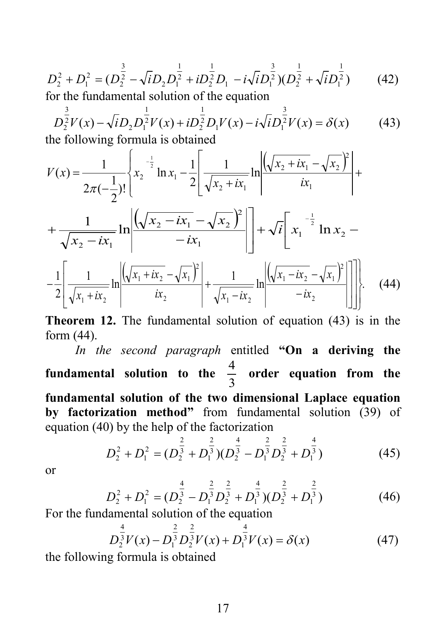$$
D_2^2 + D_1^2 = (D_2^2 - \sqrt{i}D_2D_1^2 + iD_2^2D_1 - i\sqrt{i}D_1^3)(D_2^2 + \sqrt{i}D_1^2)
$$
 (42)

for the fundamental solution of the equation

$$
D_2^{\frac{3}{2}}V(x) - \sqrt{i}D_2D_1^{\frac{1}{2}}V(x) + iD_2^{\frac{1}{2}}D_1V(x) - i\sqrt{i}D_1^{\frac{3}{2}}V(x) = \delta(x)
$$
 (43)  
the following formula is obtained

the following formula is obtained

$$
V(x) = \frac{1}{2\pi(-\frac{1}{2})!} \left\{ x_2^{-\frac{1}{2}} \ln x_1 - \frac{1}{2} \left[ \frac{1}{\sqrt{x_2 + ix_1}} \ln \left( \frac{\sqrt{x_2 + ix_1} - \sqrt{x_2}^2}{ix_1} \right) + \frac{1}{\sqrt{x_2 - ix_1}} \ln \left( \frac{\sqrt{x_2 - ix_1} - \sqrt{x_2}^2}{ix_1} \right) \right] + \sqrt{i} \left[ x_1^{-\frac{1}{2}} \ln x_2 - \frac{1}{2} \left[ \frac{1}{\sqrt{x_1 + ix_2}} \ln \left( \frac{\sqrt{x_1 + ix_2} - \sqrt{x_1}^2}{ix_2} \right) + \frac{1}{\sqrt{x_1 - ix_2}} \ln \left( \frac{\sqrt{x_1 - ix_2} - \sqrt{x_1}^2}{ix_1} \right) \right] \right].
$$
 (44)

**Theorem 12.** The fundamental solution of equation (43) is in the form (44).

*In the second paragraph* entitled **"On a deriving the fundamental solution to the**  3  $\frac{4}{2}$  order equation from the **fundamental solution of the two dimensional Laplace equation by factorization method"** from fundamental solution (39) of equation (40) by the help of the factorization

$$
D_2^2 + D_1^2 = (D_2^{\frac{2}{3}} + D_1^{\frac{2}{3}})(D_2^{\frac{4}{3}} - D_1^{\frac{2}{3}}D_2^{\frac{2}{3}} + D_1^{\frac{4}{3}})
$$
(45)

or

$$
D_2^2 + D_1^2 = (D_2^{\frac{4}{3}} - D_1^{\frac{2}{3}} D_2^{\frac{2}{3}} + D_1^{\frac{4}{3}})(D_2^{\frac{2}{3}} + D_1^{\frac{2}{3}})
$$
(46)

For the fundamental solution of the equation

$$
D_2^{\frac{4}{3}}V(x) - D_1^{\frac{2}{3}}D_2^{\frac{2}{3}}V(x) + D_1^{\frac{4}{3}}V(x) = \delta(x)
$$
(47)

the following formula is obtained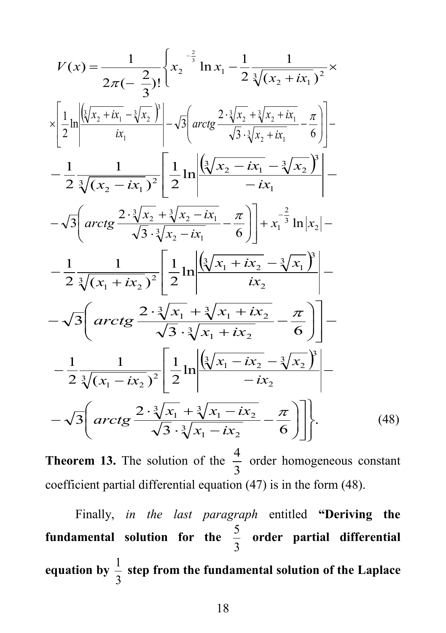$$
V(x) = \frac{1}{2\pi(-\frac{2}{3})!} \left\{ x_2^{-\frac{2}{3}} \ln x_1 - \frac{1}{2} \frac{1}{\sqrt[3]{(x_2 + ix_1)^2}} \times \frac{1}{\sqrt[3]{(x_2 + ix_1 - \sqrt[3]{x_2})}} \right\} \times \left\{ \frac{1}{2} \ln \left| \frac{\left( \sqrt[3]{x_2 + ix_1} - \sqrt[3]{x_2} \right)}{ix_1} \right| - \sqrt{3} \left( \arctg \frac{2 \cdot \sqrt[3]{x_2} + \sqrt[3]{x_2 + ix_1}}{\sqrt{3} \cdot \sqrt[3]{x_2 + ix_1}} - \frac{\pi}{6} \right) \right] - \frac{1}{2} \frac{1}{\sqrt[3]{(x_2 - ix_1)^2}} \left[ \frac{1}{2} \ln \left| \frac{\left( \sqrt[3]{x_2 - ix_1} - \sqrt[3]{x_2} \right)}{-ix_1} \right| - \sqrt{3} \left( \arctg \frac{2 \cdot \sqrt[3]{x_2} + \sqrt[3]{x_2 - ix_1}}{\sqrt{3} \cdot \sqrt[3]{x_2 - ix_1}} - \frac{\pi}{6} \right) \right] + x_1^{-\frac{2}{3}} \ln |x_2| - \frac{1}{2} \frac{1}{\sqrt[3]{(x_1 + ix_2)^2}} \left[ \frac{1}{2} \ln \left| \frac{\left( \sqrt[3]{x_1 + ix_2} - \sqrt[3]{x_1} \right)}{ix_2} \right| - \sqrt{3} \left( \arctg \frac{2 \cdot \sqrt[3]{x_1} + \sqrt[3]{x_1 + ix_2}}{\sqrt{3} \cdot \sqrt[3]{x_1 + ix_2}} - \frac{\pi}{6} \right) \right] - \frac{1}{2} \frac{1}{\sqrt[3]{(x_1 - ix_2)^2}} \left[ \frac{1}{2} \ln \left| \frac{\left( \sqrt[3]{x_1 - ix_2} - \sqrt[3]{x_2} \right)}{-ix_2} \right| - \sqrt{3} \left( \arctg \frac{2 \cdot \sqrt[3]{x_1} + \sqrt[3]{x_1 - ix_2}}{\sqrt{3} \cdot \sqrt[3]{x_1 - ix_2}} - \frac{\pi}{6} \right) \right] \right\}. \tag{48}
$$

**Theorem 13.** The solution of the 3  $\frac{4}{2}$  order homogeneous constant coefficient partial differential equation (47) is in the form (48).

Finally, *in the last paragraph* entitled **"Deriving the fundamental solution for the**  3 <sup>5</sup> **order partial differential**  equation by  $\frac{1}{3}$  step from the fundamental solution of the Laplace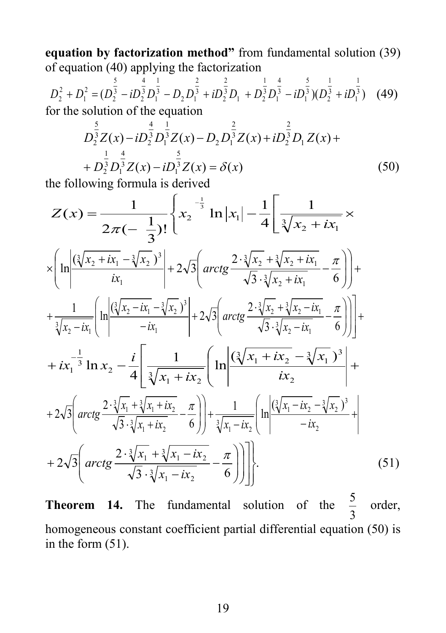**equation by factorization method"** from fundamental solution (39) of equation (40) applying the factorization

$$
D_2^2 + D_1^2 = (D_2^{\frac{5}{3}} - iD_2^{\frac{4}{3}}D_1^{\frac{1}{3}} - D_2D_1^{\frac{2}{3}} + iD_2^{\frac{2}{3}}D_1 + D_2^{\frac{1}{3}}D_1^{\frac{4}{3}} - iD_1^{\frac{5}{3}})(D_2^{\frac{1}{3}} + iD_1^{\frac{1}{3}})
$$
 (49) for the solution of the equation

$$
D_2^{\frac{5}{3}}Z(x) - iD_2^{\frac{4}{3}}D_1^{\frac{1}{3}}Z(x) - D_2D_1^{\frac{2}{3}}Z(x) + iD_2^{\frac{2}{3}}D_1Z(x) + D_2^{\frac{1}{3}}D_2^{\frac{4}{3}}Z(x) - iD_2^{\frac{5}{3}}Z(x) = \delta(x)
$$
\n(50)

the following formula is derived

$$
Z(x) = \frac{1}{2\pi(-\frac{1}{3})!} \left\{ x_2^{-\frac{1}{3}} \ln |x_1| - \frac{1}{4} \left[ \frac{1}{\sqrt[3]{x_2 + ix_1}} \right] \times \left[ \ln \left| \frac{(\sqrt[3]{x_2 + ix_1} - \sqrt[3]{x_2})^3}{ix_1} \right| + 2\sqrt{3} \left( \arctg \frac{2 \cdot \sqrt[3]{x_2} + \sqrt[3]{x_2 + ix_1}}{\sqrt{3} \cdot \sqrt[3]{x_2 + ix_1}} - \frac{\pi}{6} \right) \right] + \left. + \frac{1}{\sqrt[3]{x_2 - ix_1}} \left[ \ln \left| \frac{(\sqrt[3]{x_2 - ix_1} - \sqrt[3]{x_2})^3}{-ix_1} \right| + 2\sqrt{3} \left( \arctg \frac{2 \cdot \sqrt[3]{x_2} + \sqrt[3]{x_2 - ix_1}}{\sqrt{3} \cdot \sqrt[3]{x_2 - ix_1}} - \frac{\pi}{6} \right) \right] + \left. + ix_1^{-\frac{1}{3}} \ln x_2 - \frac{i}{4} \left[ \frac{1}{\sqrt[3]{x_1 + ix_2}} \left( \ln \left| \frac{(\sqrt[3]{x_1 + ix_2} - \sqrt[3]{x_1})^3}{ix_2} \right| + 2\sqrt{3} \left( \arctg \frac{2 \cdot \sqrt[3]{x_1 + ix_2}}{\sqrt{3} \cdot \sqrt[3]{x_1 + ix_2}} - \frac{\pi}{6} \right) \right) + \frac{1}{\sqrt[3]{x_1 - ix_2}} \left[ \ln \left| \frac{(\sqrt[3]{x_1 - ix_2} - \sqrt[3]{x_2})^3}{-ix_2} + 2\sqrt{3} \left( \arctg \frac{2 \cdot \sqrt[3]{x_1 + x_2}}{\sqrt{3} \cdot \sqrt[3]{x_1 + ix_2}} - \frac{\pi}{6} \right) \right) \right] \right\}
$$
 (51)

**Theorem 14.** The fundamental solution of the 3  $\frac{5}{2}$  order, homogeneous constant coefficient partial differential equation (50) is in the form (51).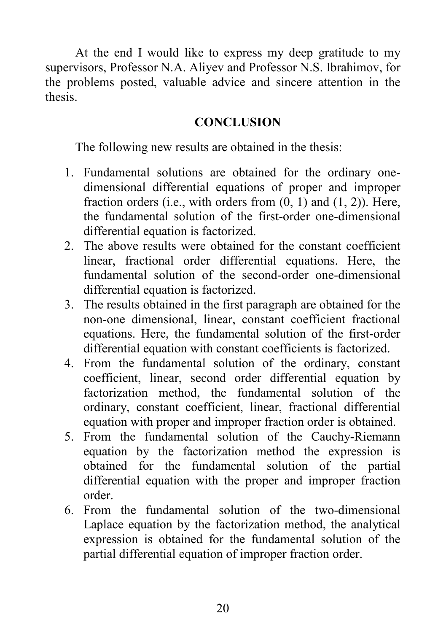At the end I would like to express my deep gratitude to my supervisors, Professor N.A. Aliyev and Professor N.S. Ibrahimov, for the problems posted, valuable advice and sincere attention in the thesis.

### **CONCLUSION**

The following new results are obtained in the thesis:

- 1. Fundamental solutions are obtained for the ordinary onedimensional differential equations of proper and improper fraction orders (i.e., with orders from  $(0, 1)$  and  $(1, 2)$ ). Here, the fundamental solution of the first-order one-dimensional differential equation is factorized.
- 2. The above results were obtained for the constant coefficient linear, fractional order differential equations. Here, the fundamental solution of the second-order one-dimensional differential equation is factorized.
- 3. The results obtained in the first paragraph are obtained for the non-one dimensional, linear, constant coefficient fractional equations. Here, the fundamental solution of the first-order differential equation with constant coefficients is factorized.
- 4. From the fundamental solution of the ordinary, constant coefficient, linear, second order differential equation by factorization method, the fundamental solution of the ordinary, constant coefficient, linear, fractional differential equation with proper and improper fraction order is obtained.
- 5. From the fundamental solution of the Cauchy-Riemann equation by the factorization method the expression is obtained for the fundamental solution of the partial differential equation with the proper and improper fraction order.
- 6. From the fundamental solution of the two-dimensional Laplace equation by the factorization method, the analytical expression is obtained for the fundamental solution of the partial differential equation of improper fraction order.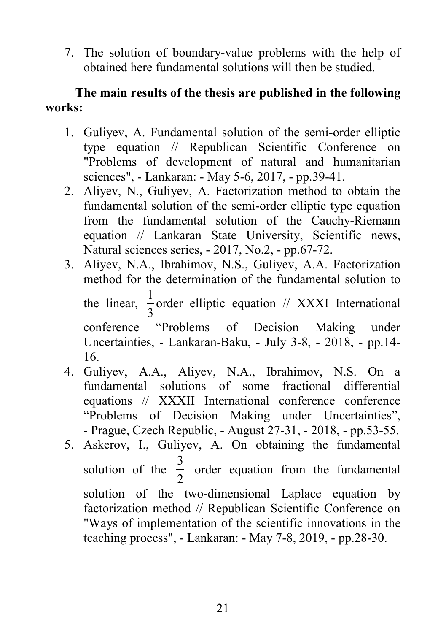7. The solution of boundary-value problems with the help of obtained here fundamental solutions will then be studied.

### **The main results of the thesis are published in the following works:**

- 1. Guliyev, A. Fundamental solution of the semi-order elliptic type equation // Republican Scientific Conference on "Problems of development of natural and humanitarian sciences", - Lankaran: - May 5-6, 2017, - pp.39-41.
- 2. Aliyev, N., Guliyev, A. Factorization method to obtain the fundamental solution of the semi-order elliptic type equation from the fundamental solution of the Cauchy-Riemann equation // Lankaran State University, Scientific news, Natural sciences series, - 2017, No.2, - pp.67-72.
- 3. Aliyev, N.A., Ibrahimov, N.S., Guliyev, A.A. Factorization method for the determination of the fundamental solution to the linear,  $\frac{1}{3}$  order elliptic equation // XXXI International conference "Problems of Decision Making under Uncertainties, - Lankaran-Baku, - July 3-8, - 2018, - pp.14- 16.
- 4. Guliyev, A.A., Aliyev, N.A., Ibrahimov, N.S. On a fundamental solutions of some fractional differential equations // XXXII International conference conference "Problems of Decision Making under Uncertainties", - Prague, Czech Republic, - August 27-31, - 2018, - pp.53-55.
- 5. Askerov, I., Guliyev, A. On obtaining the fundamental solution of the 2  $\frac{3}{2}$  order equation from the fundamental solution of the two-dimensional Laplace equation by factorization method // Republican Scientific Conference on "Ways of implementation of the scientific innovations in the teaching process", - Lankaran: - May 7-8, 2019, - pp.28-30.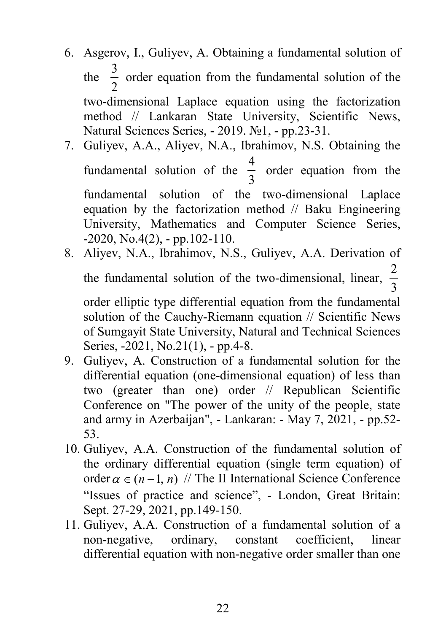- 6. Asgerov, I., Guliyev, A. Obtaining a fundamental solution of the 2  $\frac{3}{2}$  order equation from the fundamental solution of the two-dimensional Laplace equation using the factorization method // Lankaran State University, Scientific News, Natural Sciences Series, - 2019. №1, - pp.23-31.
- 7. Guliyev, A.A., Aliyev, N.A., Ibrahimov, N.S. Obtaining the fundamental solution of the 3  $\frac{4}{2}$  order equation from the fundamental solution of the two-dimensional Laplace equation by the factorization method // Baku Engineering University, Mathematics and Computer Science Series,  $-2020$ , No.4(2),  $-$  pp.102-110.
- 8. Aliyev, N.A., Ibrahimov, N.S., Guliyev, A.A. Derivation of the fundamental solution of the two-dimensional, linear,  $\frac{2}{3}$ 2

order elliptic type differential equation from the fundamental solution of the Cauchy-Riemann equation // Scientific News of Sumgayit State University, Natural and Technical Sciences Series, -2021, No.21(1), - pp.4-8.

- 9. Guliyev, A. Construction of a fundamental solution for the differential equation (one-dimensional equation) of less than two (greater than one) order // Republican Scientific Conference on "The power of the unity of the people, state and army in Azerbaijan", - Lankaran: - May 7, 2021, - pp.52- 53.
- 10. Guliyev, A.A. Construction of the fundamental solution of the ordinary differential equation (single term equation) of order  $\alpha \in (n-1, n)$  // The II International Science Conference "Issues of practice and science", - London, Great Britain: Sept. 27-29, 2021, pp.149-150.
- 11. Guliyev, A.A. Construction of a fundamental solution of a non-negative, ordinary, constant coefficient, linear differential equation with non-negative order smaller than one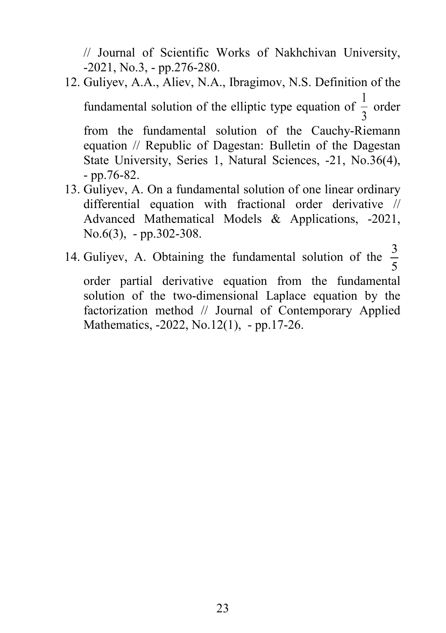// Journal of Scientific Works of Nakhchivan University, -2021, No.3, - pp.276-280.

12. Guliyev, A.A., Aliev, N.A., Ibragimov, N.S. Definition of the fundamental solution of the elliptic type equation of 3  $\frac{1}{2}$  order from the fundamental solution of the Cauchy-Riemann equation // Republic of Dagestan: Bulletin of the Dagestan State University, Series 1, Natural Sciences, -21, No.36(4), - pp.76-82.

13. Guliyev, A. On a fundamental solution of one linear ordinary differential equation with fractional order derivative // Advanced Mathematical Models & Applications, -2021, No.6(3), - pp.302-308.

14. Guliyev, A. Obtaining the fundamental solution of the  $\frac{3}{5}$ 

order partial derivative equation from the fundamental solution of the two-dimensional Laplace equation by the factorization method // Journal of Contemporary Applied Mathematics, -2022, No.12(1), - pp.17-26.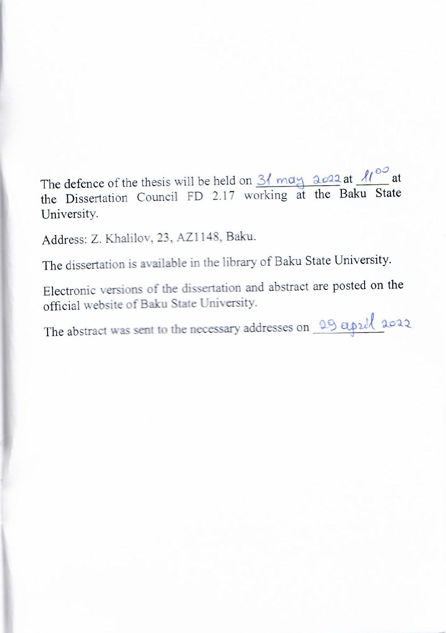$\sigma = 1.6$  Cd, there will be hold on he Dissertation Council FD 2.17 working at the Baku S University.

Address: Z. Khalilov, 23, AZ1148, Baku.

The dissertation is available in the library of Baku State University.

Electronic versions of the dissertation and abstract are posted on the official website of Baku State University.

The abstract was sent to the necessary addresses on 29 april 2022